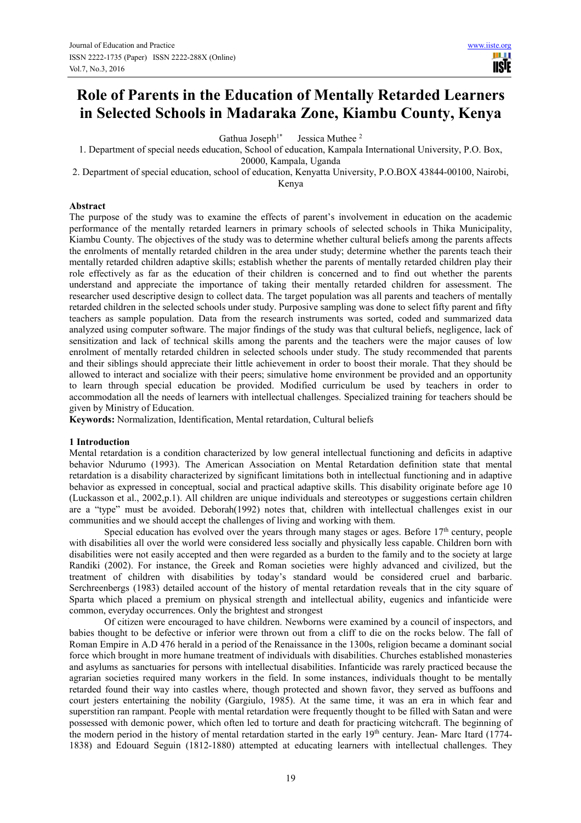# **Role of Parents in the Education of Mentally Retarded Learners in Selected Schools in Madaraka Zone, Kiambu County, Kenya**

Gathua Joseph<sup>1\*</sup> Jessica Muthee<sup>2</sup>

1. Department of special needs education, School of education, Kampala International University, P.O. Box, 20000, Kampala, Uganda

2. Department of special education, school of education, Kenyatta University, P.O.BOX 43844-00100, Nairobi, Kenya

#### **Abstract**

The purpose of the study was to examine the effects of parent's involvement in education on the academic performance of the mentally retarded learners in primary schools of selected schools in Thika Municipality, Kiambu County. The objectives of the study was to determine whether cultural beliefs among the parents affects the enrolments of mentally retarded children in the area under study; determine whether the parents teach their mentally retarded children adaptive skills; establish whether the parents of mentally retarded children play their role effectively as far as the education of their children is concerned and to find out whether the parents understand and appreciate the importance of taking their mentally retarded children for assessment. The researcher used descriptive design to collect data. The target population was all parents and teachers of mentally retarded children in the selected schools under study. Purposive sampling was done to select fifty parent and fifty teachers as sample population. Data from the research instruments was sorted, coded and summarized data analyzed using computer software. The major findings of the study was that cultural beliefs, negligence, lack of sensitization and lack of technical skills among the parents and the teachers were the major causes of low enrolment of mentally retarded children in selected schools under study. The study recommended that parents and their siblings should appreciate their little achievement in order to boost their morale. That they should be allowed to interact and socialize with their peers; simulative home environment be provided and an opportunity to learn through special education be provided. Modified curriculum be used by teachers in order to accommodation all the needs of learners with intellectual challenges. Specialized training for teachers should be given by Ministry of Education.

**Keywords:** Normalization, Identification, Mental retardation, Cultural beliefs

# **1 Introduction**

Mental retardation is a condition characterized by low general intellectual functioning and deficits in adaptive behavior Ndurumo (1993). The American Association on Mental Retardation definition state that mental retardation is a disability characterized by significant limitations both in intellectual functioning and in adaptive behavior as expressed in conceptual, social and practical adaptive skills. This disability originate before age 10 (Luckasson et al., 2002,p.1). All children are unique individuals and stereotypes or suggestions certain children are a "type" must be avoided. Deborah(1992) notes that, children with intellectual challenges exist in our communities and we should accept the challenges of living and working with them.

Special education has evolved over the years through many stages or ages. Before  $17<sup>th</sup>$  century, people with disabilities all over the world were considered less socially and physically less capable. Children born with disabilities were not easily accepted and then were regarded as a burden to the family and to the society at large Randiki (2002). For instance, the Greek and Roman societies were highly advanced and civilized, but the treatment of children with disabilities by today's standard would be considered cruel and barbaric. Serchreenbergs (1983) detailed account of the history of mental retardation reveals that in the city square of Sparta which placed a premium on physical strength and intellectual ability, eugenics and infanticide were common, everyday occurrences. Only the brightest and strongest

Of citizen were encouraged to have children. Newborns were examined by a council of inspectors, and babies thought to be defective or inferior were thrown out from a cliff to die on the rocks below. The fall of Roman Empire in A.D 476 herald in a period of the Renaissance in the 1300s, religion became a dominant social force which brought in more humane treatment of individuals with disabilities. Churches established monasteries and asylums as sanctuaries for persons with intellectual disabilities. Infanticide was rarely practiced because the agrarian societies required many workers in the field. In some instances, individuals thought to be mentally retarded found their way into castles where, though protected and shown favor, they served as buffoons and court jesters entertaining the nobility (Gargiulo, 1985). At the same time, it was an era in which fear and superstition ran rampant. People with mental retardation were frequently thought to be filled with Satan and were possessed with demonic power, which often led to torture and death for practicing witchcraft. The beginning of the modern period in the history of mental retardation started in the early 19<sup>th</sup> century. Jean- Marc Itard (1774-1838) and Edouard Seguin (1812-1880) attempted at educating learners with intellectual challenges. They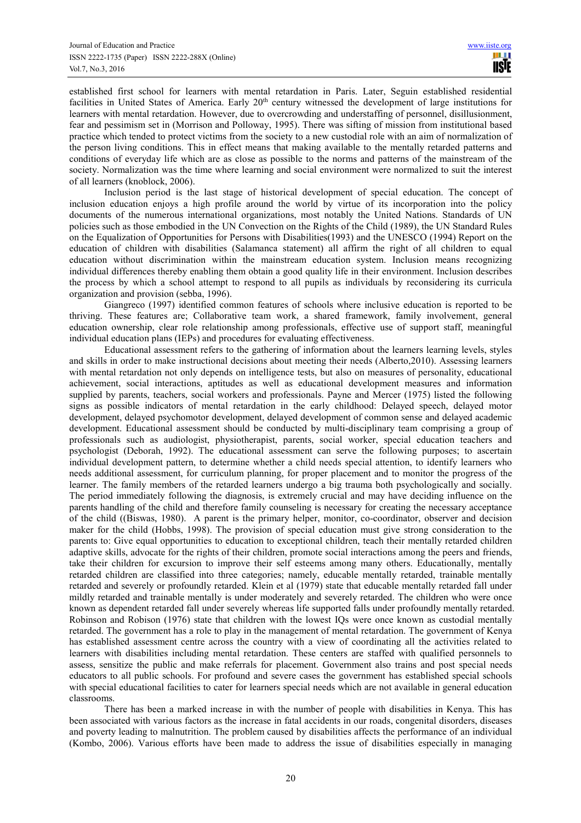established first school for learners with mental retardation in Paris. Later, Seguin established residential facilities in United States of America. Early 20<sup>th</sup> century witnessed the development of large institutions for learners with mental retardation. However, due to overcrowding and understaffing of personnel, disillusionment, fear and pessimism set in (Morrison and Polloway, 1995). There was sifting of mission from institutional based practice which tended to protect victims from the society to a new custodial role with an aim of normalization of the person living conditions. This in effect means that making available to the mentally retarded patterns and conditions of everyday life which are as close as possible to the norms and patterns of the mainstream of the society. Normalization was the time where learning and social environment were normalized to suit the interest of all learners (knoblock, 2006).

Inclusion period is the last stage of historical development of special education. The concept of inclusion education enjoys a high profile around the world by virtue of its incorporation into the policy documents of the numerous international organizations, most notably the United Nations. Standards of UN policies such as those embodied in the UN Convection on the Rights of the Child (1989), the UN Standard Rules on the Equalization of Opportunities for Persons with Disabilities(1993) and the UNESCO (1994) Report on the education of children with disabilities (Salamanca statement) all affirm the right of all children to equal education without discrimination within the mainstream education system. Inclusion means recognizing individual differences thereby enabling them obtain a good quality life in their environment. Inclusion describes the process by which a school attempt to respond to all pupils as individuals by reconsidering its curricula organization and provision (sebba, 1996).

Giangreco (1997) identified common features of schools where inclusive education is reported to be thriving. These features are; Collaborative team work, a shared framework, family involvement, general education ownership, clear role relationship among professionals, effective use of support staff, meaningful individual education plans (IEPs) and procedures for evaluating effectiveness.

Educational assessment refers to the gathering of information about the learners learning levels, styles and skills in order to make instructional decisions about meeting their needs (Alberto,2010). Assessing learners with mental retardation not only depends on intelligence tests, but also on measures of personality, educational achievement, social interactions, aptitudes as well as educational development measures and information supplied by parents, teachers, social workers and professionals. Payne and Mercer (1975) listed the following signs as possible indicators of mental retardation in the early childhood: Delayed speech, delayed motor development, delayed psychomotor development, delayed development of common sense and delayed academic development. Educational assessment should be conducted by multi-disciplinary team comprising a group of professionals such as audiologist, physiotherapist, parents, social worker, special education teachers and psychologist (Deborah, 1992). The educational assessment can serve the following purposes; to ascertain individual development pattern, to determine whether a child needs special attention, to identify learners who needs additional assessment, for curriculum planning, for proper placement and to monitor the progress of the learner. The family members of the retarded learners undergo a big trauma both psychologically and socially. The period immediately following the diagnosis, is extremely crucial and may have deciding influence on the parents handling of the child and therefore family counseling is necessary for creating the necessary acceptance of the child ((Biswas, 1980). A parent is the primary helper, monitor, co-coordinator, observer and decision maker for the child (Hobbs, 1998). The provision of special education must give strong consideration to the parents to: Give equal opportunities to education to exceptional children, teach their mentally retarded children adaptive skills, advocate for the rights of their children, promote social interactions among the peers and friends, take their children for excursion to improve their self esteems among many others. Educationally, mentally retarded children are classified into three categories; namely, educable mentally retarded, trainable mentally retarded and severely or profoundly retarded. Klein et al (1979) state that educable mentally retarded fall under mildly retarded and trainable mentally is under moderately and severely retarded. The children who were once known as dependent retarded fall under severely whereas life supported falls under profoundly mentally retarded. Robinson and Robison (1976) state that children with the lowest IQs were once known as custodial mentally retarded. The government has a role to play in the management of mental retardation. The government of Kenya has established assessment centre across the country with a view of coordinating all the activities related to learners with disabilities including mental retardation. These centers are staffed with qualified personnels to assess, sensitize the public and make referrals for placement. Government also trains and post special needs educators to all public schools. For profound and severe cases the government has established special schools with special educational facilities to cater for learners special needs which are not available in general education classrooms.

There has been a marked increase in with the number of people with disabilities in Kenya. This has been associated with various factors as the increase in fatal accidents in our roads, congenital disorders, diseases and poverty leading to malnutrition. The problem caused by disabilities affects the performance of an individual (Kombo, 2006). Various efforts have been made to address the issue of disabilities especially in managing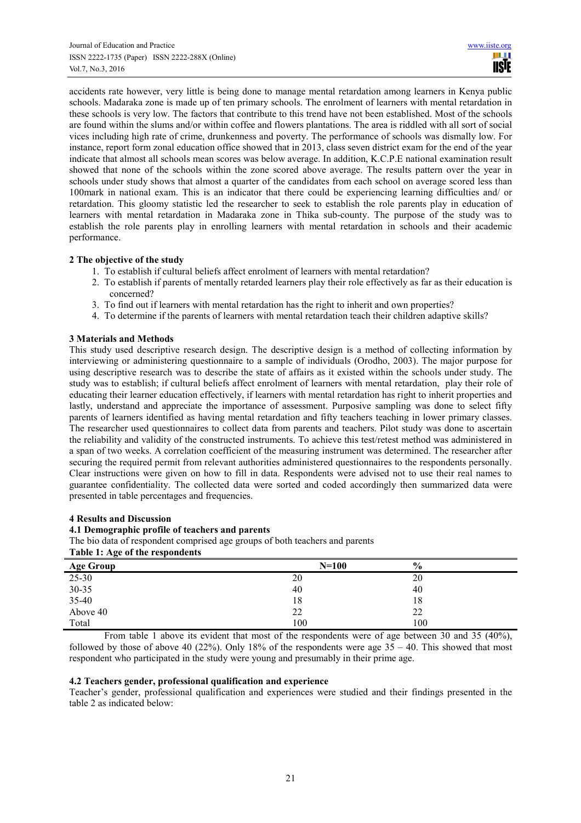accidents rate however, very little is being done to manage mental retardation among learners in Kenya public schools. Madaraka zone is made up of ten primary schools. The enrolment of learners with mental retardation in these schools is very low. The factors that contribute to this trend have not been established. Most of the schools are found within the slums and/or within coffee and flowers plantations. The area is riddled with all sort of social vices including high rate of crime, drunkenness and poverty. The performance of schools was dismally low. For instance, report form zonal education office showed that in 2013, class seven district exam for the end of the year indicate that almost all schools mean scores was below average. In addition, K.C.P.E national examination result showed that none of the schools within the zone scored above average. The results pattern over the year in schools under study shows that almost a quarter of the candidates from each school on average scored less than 100mark in national exam. This is an indicator that there could be experiencing learning difficulties and/ or retardation. This gloomy statistic led the researcher to seek to establish the role parents play in education of learners with mental retardation in Madaraka zone in Thika sub-county. The purpose of the study was to establish the role parents play in enrolling learners with mental retardation in schools and their academic performance.

# **2 The objective of the study**

- 1. To establish if cultural beliefs affect enrolment of learners with mental retardation?
- 2. To establish if parents of mentally retarded learners play their role effectively as far as their education is concerned?
- 3. To find out if learners with mental retardation has the right to inherit and own properties?
- 4. To determine if the parents of learners with mental retardation teach their children adaptive skills?

# **3 Materials and Methods**

This study used descriptive research design. The descriptive design is a method of collecting information by interviewing or administering questionnaire to a sample of individuals (Orodho, 2003). The major purpose for using descriptive research was to describe the state of affairs as it existed within the schools under study. The study was to establish; if cultural beliefs affect enrolment of learners with mental retardation, play their role of educating their learner education effectively, if learners with mental retardation has right to inherit properties and lastly, understand and appreciate the importance of assessment. Purposive sampling was done to select fifty parents of learners identified as having mental retardation and fifty teachers teaching in lower primary classes. The researcher used questionnaires to collect data from parents and teachers. Pilot study was done to ascertain the reliability and validity of the constructed instruments. To achieve this test/retest method was administered in a span of two weeks. A correlation coefficient of the measuring instrument was determined. The researcher after securing the required permit from relevant authorities administered questionnaires to the respondents personally. Clear instructions were given on how to fill in data. Respondents were advised not to use their real names to guarantee confidentiality. The collected data were sorted and coded accordingly then summarized data were presented in table percentages and frequencies.

#### **4 Results and Discussion**

#### **4.1 Demographic profile of teachers and parents**

The bio data of respondent comprised age groups of both teachers and parents

#### **Table 1: Age of the respondents**

| <b>Age Group</b> | $N=100$ | $\frac{6}{9}$ |  |
|------------------|---------|---------------|--|
| $25 - 30$        | 20      | 20            |  |
| $30 - 35$        | 40      | 40            |  |
| 35-40            | 18      | 18            |  |
| Above 40         | 22      | 22            |  |
| Total            | 100     | 100           |  |

From table 1 above its evident that most of the respondents were of age between 30 and 35 (40%), followed by those of above 40 (22%). Only 18% of the respondents were age  $35 - 40$ . This showed that most respondent who participated in the study were young and presumably in their prime age.

#### **4.2 Teachers gender, professional qualification and experience**

Teacher's gender, professional qualification and experiences were studied and their findings presented in the table 2 as indicated below: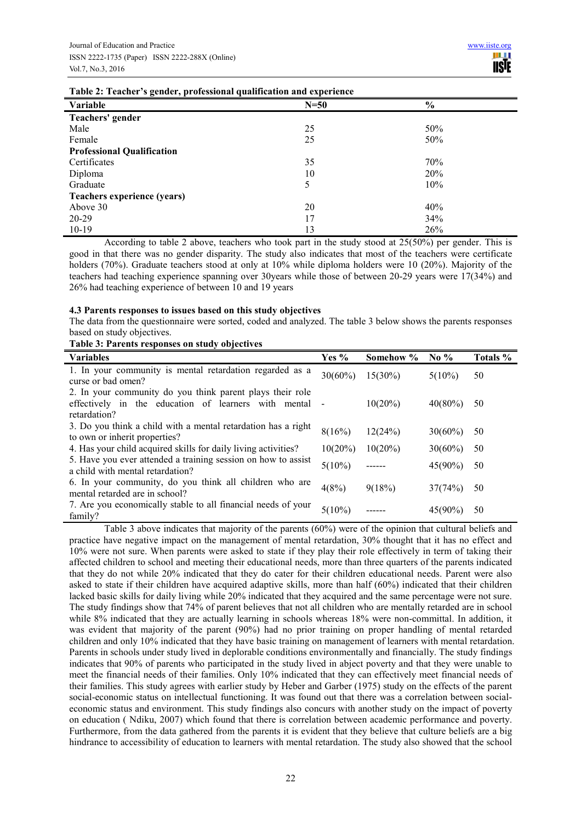| Table 2. Teacher 3 genuer, professional quantication and experience |        |                |  |  |  |
|---------------------------------------------------------------------|--------|----------------|--|--|--|
| Variable                                                            | $N=50$ | $\frac{6}{10}$ |  |  |  |
| Teachers' gender                                                    |        |                |  |  |  |
| Male                                                                | 25     | 50%            |  |  |  |
| Female                                                              | 25     | 50%            |  |  |  |
| <b>Professional Qualification</b>                                   |        |                |  |  |  |
| Certificates                                                        | 35     | 70%            |  |  |  |
| Diploma                                                             | 10     | 20%            |  |  |  |
| Graduate                                                            | 5      | 10%            |  |  |  |
| Teachers experience (years)                                         |        |                |  |  |  |
| Above 30                                                            | 20     | 40%            |  |  |  |
| 20-29                                                               | 17     | 34%            |  |  |  |
| $10-19$                                                             | 13     | 26%            |  |  |  |
|                                                                     |        |                |  |  |  |

**Table 2: Teacher's gender, professional qualification and experience** 

According to table 2 above, teachers who took part in the study stood at 25(50%) per gender. This is good in that there was no gender disparity. The study also indicates that most of the teachers were certificate holders (70%). Graduate teachers stood at only at 10% while diploma holders were 10 (20%). Majority of the teachers had teaching experience spanning over 30years while those of between 20-29 years were 17(34%) and 26% had teaching experience of between 10 and 19 years

#### **4.3 Parents responses to issues based on this study objectives**

**Table 3: Parents responses on study objectives** 

The data from the questionnaire were sorted, coded and analyzed. The table 3 below shows the parents responses based on study objectives.

| <b>Variables</b>                                                                                                                    | Yes $%$    | Somehow %  | No $%$     | Totals % |
|-------------------------------------------------------------------------------------------------------------------------------------|------------|------------|------------|----------|
| 1. In your community is mental retardation regarded as a<br>curse or bad omen?                                                      | $30(60\%)$ | $15(30\%)$ | $5(10\%)$  | 50       |
| 2. In your community do you think parent plays their role<br>effectively in the education of learners with mental -<br>retardation? |            | $10(20\%)$ | $40(80\%)$ | 50       |
| 3. Do you think a child with a mental retardation has a right<br>to own or inherit properties?                                      | 8(16%)     | 12(24%)    | $30(60\%)$ | 50       |
| 4. Has your child acquired skills for daily living activities?                                                                      | $10(20\%)$ | $10(20\%)$ | $30(60\%)$ | 50       |
| 5. Have you ever attended a training session on how to assist<br>a child with mental retardation?                                   | $5(10\%)$  |            | $45(90\%)$ | 50       |
| 6. In your community, do you think all children who are<br>mental retarded are in school?                                           | 4(8%)      | 9(18%)     | 37(74%)    | 50       |
| 7. Are you economically stable to all financial needs of your<br>family?                                                            | $5(10\%)$  |            | $45(90\%)$ | 50       |

Table 3 above indicates that majority of the parents (60%) were of the opinion that cultural beliefs and practice have negative impact on the management of mental retardation, 30% thought that it has no effect and 10% were not sure. When parents were asked to state if they play their role effectively in term of taking their affected children to school and meeting their educational needs, more than three quarters of the parents indicated that they do not while 20% indicated that they do cater for their children educational needs. Parent were also asked to state if their children have acquired adaptive skills, more than half (60%) indicated that their children lacked basic skills for daily living while 20% indicated that they acquired and the same percentage were not sure. The study findings show that 74% of parent believes that not all children who are mentally retarded are in school while 8% indicated that they are actually learning in schools whereas 18% were non-committal. In addition, it was evident that majority of the parent (90%) had no prior training on proper handling of mental retarded children and only 10% indicated that they have basic training on management of learners with mental retardation. Parents in schools under study lived in deplorable conditions environmentally and financially. The study findings indicates that 90% of parents who participated in the study lived in abject poverty and that they were unable to meet the financial needs of their families. Only 10% indicated that they can effectively meet financial needs of their families. This study agrees with earlier study by Heber and Garber (1975) study on the effects of the parent social-economic status on intellectual functioning. It was found out that there was a correlation between socialeconomic status and environment. This study findings also concurs with another study on the impact of poverty on education ( Ndiku, 2007) which found that there is correlation between academic performance and poverty. Furthermore, from the data gathered from the parents it is evident that they believe that culture beliefs are a big hindrance to accessibility of education to learners with mental retardation. The study also showed that the school

# 22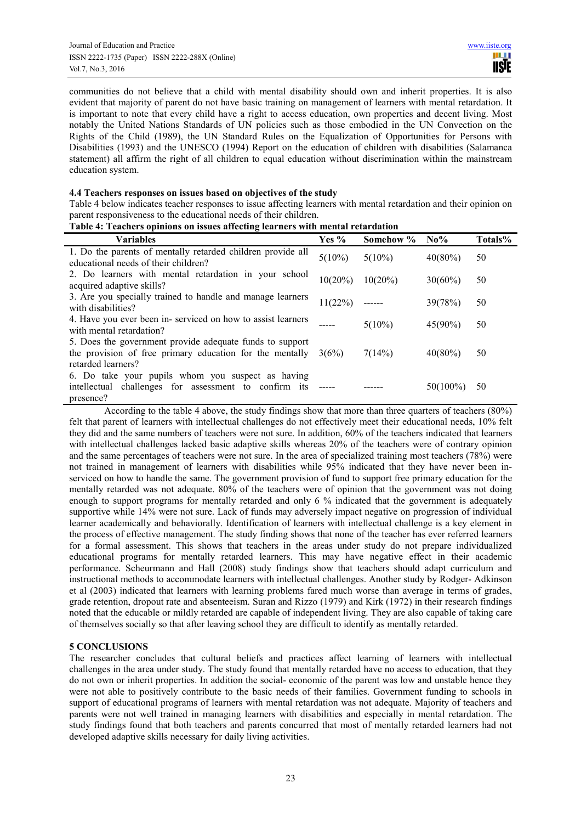communities do not believe that a child with mental disability should own and inherit properties. It is also evident that majority of parent do not have basic training on management of learners with mental retardation. It is important to note that every child have a right to access education, own properties and decent living. Most notably the United Nations Standards of UN policies such as those embodied in the UN Convection on the Rights of the Child (1989), the UN Standard Rules on the Equalization of Opportunities for Persons with Disabilities (1993) and the UNESCO (1994) Report on the education of children with disabilities (Salamanca statement) all affirm the right of all children to equal education without discrimination within the mainstream education system.

#### **4.4 Teachers responses on issues based on objectives of the study**

Table 4 below indicates teacher responses to issue affecting learners with mental retardation and their opinion on parent responsiveness to the educational needs of their children.

| <b>Variables</b>                                                                                                                           | Yes $%$    | Somehow %  | $\bf N0\%$  | Totals% |
|--------------------------------------------------------------------------------------------------------------------------------------------|------------|------------|-------------|---------|
| 1. Do the parents of mentally retarded children provide all<br>educational needs of their children?                                        | $5(10\%)$  | $5(10\%)$  | $40(80\%)$  | 50      |
| 2. Do learners with mental retardation in your school<br>acquired adaptive skills?                                                         | $10(20\%)$ | $10(20\%)$ | $30(60\%)$  | 50      |
| 3. Are you specially trained to handle and manage learners<br>with disabilities?                                                           | 11(22%)    |            | 39(78%)     | 50      |
| 4. Have you ever been in-serviced on how to assist learners<br>with mental retardation?                                                    |            | $5(10\%)$  | $45(90\%)$  | 50      |
| 5. Does the government provide adequate funds to support<br>the provision of free primary education for the mentally<br>retarded learners? | 3(6%)      | 7(14%)     | $40(80\%)$  | 50      |
| 6. Do take your pupils whom you suspect as having<br>intellectual challenges for assessment to confirm its<br>presence?                    |            |            | $50(100\%)$ | 50      |

#### **Table 4: Teachers opinions on issues affecting learners with mental retardation**

According to the table 4 above, the study findings show that more than three quarters of teachers (80%) felt that parent of learners with intellectual challenges do not effectively meet their educational needs, 10% felt they did and the same numbers of teachers were not sure. In addition, 60% of the teachers indicated that learners with intellectual challenges lacked basic adaptive skills whereas 20% of the teachers were of contrary opinion and the same percentages of teachers were not sure. In the area of specialized training most teachers (78%) were not trained in management of learners with disabilities while 95% indicated that they have never been inserviced on how to handle the same. The government provision of fund to support free primary education for the mentally retarded was not adequate. 80% of the teachers were of opinion that the government was not doing enough to support programs for mentally retarded and only 6 % indicated that the government is adequately supportive while 14% were not sure. Lack of funds may adversely impact negative on progression of individual learner academically and behaviorally. Identification of learners with intellectual challenge is a key element in the process of effective management. The study finding shows that none of the teacher has ever referred learners for a formal assessment. This shows that teachers in the areas under study do not prepare individualized educational programs for mentally retarded learners. This may have negative effect in their academic performance. Scheurmann and Hall (2008) study findings show that teachers should adapt curriculum and instructional methods to accommodate learners with intellectual challenges. Another study by Rodger- Adkinson et al (2003) indicated that learners with learning problems fared much worse than average in terms of grades, grade retention, dropout rate and absenteeism. Suran and Rizzo (1979) and Kirk (1972) in their research findings noted that the educable or mildly retarded are capable of independent living. They are also capable of taking care of themselves socially so that after leaving school they are difficult to identify as mentally retarded.

# **5 CONCLUSIONS**

The researcher concludes that cultural beliefs and practices affect learning of learners with intellectual challenges in the area under study. The study found that mentally retarded have no access to education, that they do not own or inherit properties. In addition the social- economic of the parent was low and unstable hence they were not able to positively contribute to the basic needs of their families. Government funding to schools in support of educational programs of learners with mental retardation was not adequate. Majority of teachers and parents were not well trained in managing learners with disabilities and especially in mental retardation. The study findings found that both teachers and parents concurred that most of mentally retarded learners had not developed adaptive skills necessary for daily living activities.